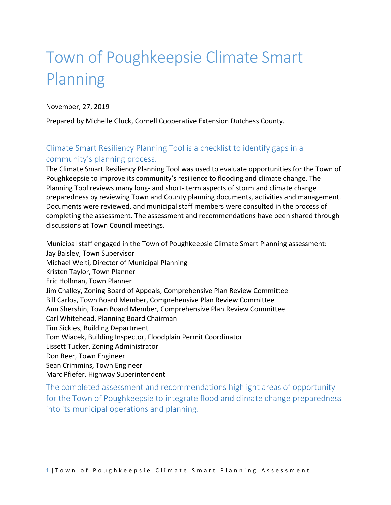# Town of Poughkeepsie Climate Smart Planning

November, 27, 2019

Prepared by Michelle Gluck, Cornell Cooperative Extension Dutchess County.

#### Climate Smart Resiliency Planning Tool is a checklist to identify gaps in a community's planning process.

The Climate Smart Resiliency Planning Tool was used to evaluate opportunities for the Town of Poughkeepsie to improve its community's resilience to flooding and climate change. The Planning Tool reviews many long- and short‐ term aspects of storm and climate change preparedness by reviewing Town and County planning documents, activities and management. Documents were reviewed, and municipal staff members were consulted in the process of completing the assessment. The assessment and recommendations have been shared through discussions at Town Council meetings.

Municipal staff engaged in the Town of Poughkeepsie Climate Smart Planning assessment: Jay Baisley, Town Supervisor Michael Welti, Director of Municipal Planning Kristen Taylor, Town Planner Eric Hollman, Town Planner Jim Challey, Zoning Board of Appeals, Comprehensive Plan Review Committee Bill Carlos, Town Board Member, Comprehensive Plan Review Committee Ann Shershin, Town Board Member, Comprehensive Plan Review Committee Carl Whitehead, Planning Board Chairman Tim Sickles, Building Department Tom Wiacek, Building Inspector, Floodplain Permit Coordinator Lissett Tucker, Zoning Administrator Don Beer, Town Engineer Sean Crimmins, Town Engineer Marc Pfiefer, Highway Superintendent

The completed assessment and recommendations highlight areas of opportunity for the Town of Poughkeepsie to integrate flood and climate change preparedness into its municipal operations and planning.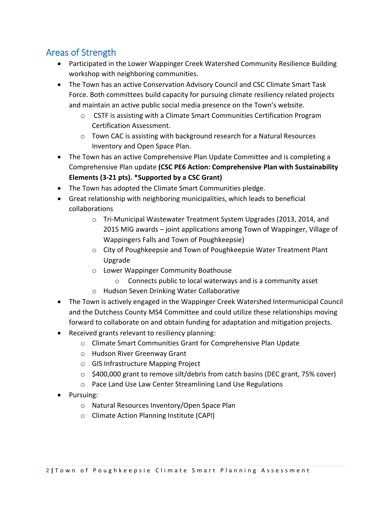# Areas of Strength

- Participated in the Lower Wappinger Creek Watershed Community Resilience Building workshop with neighboring communities.
- The Town has an active Conservation Advisory Council and CSC Climate Smart Task Force. Both committees build capacity for pursuing climate resiliency related projects and maintain an active public social media presence on the Town's website.
	- o CSTF is assisting with a Climate Smart Communities Certification Program Certification Assessment.
	- o Town CAC is assisting with background research for a Natural Resources Inventory and Open Space Plan.
- The Town has an active Comprehensive Plan Update Committee and is completing a Comprehensive Plan update **(CSC PE6 Action: Comprehensive Plan with Sustainability Elements (3-21 pts). \*Supported by a CSC Grant)**
- The Town has adopted the Climate Smart Communities pledge.
- Great relationship with neighboring municipalities, which leads to beneficial collaborations
	- o Tri-Municipal Wastewater Treatment System Upgrades (2013, 2014, and 2015 MIG awards – joint applications among Town of Wappinger, Village of Wappingers Falls and Town of Poughkeepsie)
	- o City of Poughkeepsie and Town of Poughkeepsie Water Treatment Plant Upgrade
	- o Lower Wappinger Community Boathouse
		- o Connects public to local waterways and is a community asset
	- o Hudson Seven Drinking Water Collaborative
- The Town is actively engaged in the Wappinger Creek Watershed Intermunicipal Council and the Dutchess County MS4 Committee and could utilize these relationships moving forward to collaborate on and obtain funding for adaptation and mitigation projects.
- Received grants relevant to resiliency planning:
	- o Climate Smart Communities Grant for Comprehensive Plan Update
	- o Hudson River Greenway Grant
	- o GIS Infrastructure Mapping Project
	- $\circ$  \$400,000 grant to remove silt/debris from catch basins (DEC grant, 75% cover)
	- o Pace Land Use Law Center Streamlining Land Use Regulations
- Pursuing:
	- o Natural Resources Inventory/Open Space Plan
	- o Climate Action Planning Institute (CAPI)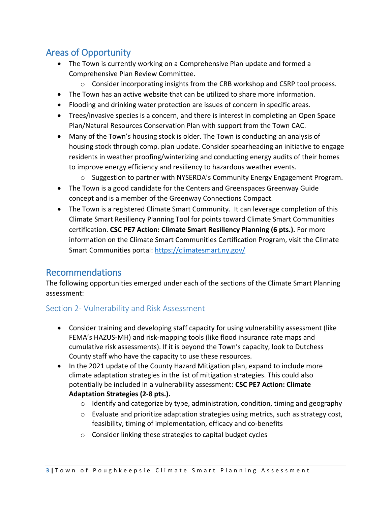## Areas of Opportunity

- The Town is currently working on a Comprehensive Plan update and formed a Comprehensive Plan Review Committee.
	- o Consider incorporating insights from the CRB workshop and CSRP tool process.
- The Town has an active website that can be utilized to share more information.
- Flooding and drinking water protection are issues of concern in specific areas.
- Trees/invasive species is a concern, and there is interest in completing an Open Space Plan/Natural Resources Conservation Plan with support from the Town CAC.
- Many of the Town's housing stock is older. The Town is conducting an analysis of housing stock through comp. plan update. Consider spearheading an initiative to engage residents in weather proofing/winterizing and conducting energy audits of their homes to improve energy efficiency and resiliency to hazardous weather events.
	- $\circ$  Suggestion to partner with NYSERDA's Community Energy Engagement Program.
- The Town is a good candidate for the Centers and Greenspaces Greenway Guide concept and is a member of the Greenway Connections Compact.
- The Town is a registered Climate Smart Community. It can leverage completion of this Climate Smart Resiliency Planning Tool for points toward Climate Smart Communities certification. **CSC PE7 Action: Climate Smart Resiliency Planning (6 pts.).** For more information on the Climate Smart Communities Certification Program, visit the Climate Smart Communities portal:<https://climatesmart.ny.gov/>

## Recommendations

The following opportunities emerged under each of the sections of the Climate Smart Planning assessment:

#### Section 2- Vulnerability and Risk Assessment

- Consider training and developing staff capacity for using vulnerability assessment (like FEMA's HAZUS-MH) and risk-mapping tools (like flood insurance rate maps and cumulative risk assessments). If it is beyond the Town's capacity, look to Dutchess County staff who have the capacity to use these resources.
- In the 2021 update of the County Hazard Mitigation plan, expand to include more climate adaptation strategies in the list of mitigation strategies. This could also potentially be included in a vulnerability assessment: **CSC PE7 Action: Climate Adaptation Strategies (2-8 pts.).** 
	- o Identify and categorize by type, administration, condition, timing and geography
	- $\circ$  Evaluate and prioritize adaptation strategies using metrics, such as strategy cost, feasibility, timing of implementation, efficacy and co-benefits
	- o Consider linking these strategies to capital budget cycles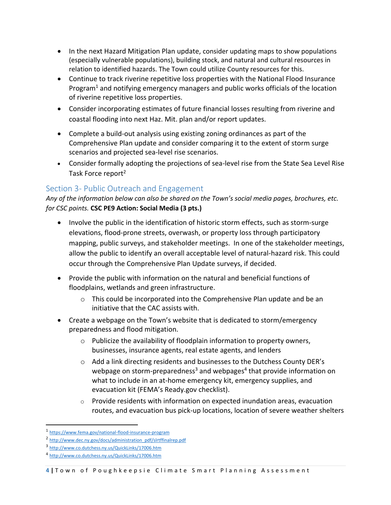- In the next Hazard Mitigation Plan update, consider updating maps to show populations (especially vulnerable populations), building stock, and natural and cultural resources in relation to identified hazards. The Town could utilize County resources for this.
- Continue to track riverine repetitive loss properties with the National Flood Insurance Program<sup>1</sup> and notifying emergency managers and public works officials of the location of riverine repetitive loss properties.
- Consider incorporating estimates of future financial losses resulting from riverine and coastal flooding into next Haz. Mit. plan and/or report updates.
- Complete a build-out analysis using existing zoning ordinances as part of the Comprehensive Plan update and consider comparing it to the extent of storm surge scenarios and projected sea-level rise scenarios.
- Consider formally adopting the projections of sea-level rise from the State Sea Level Rise Task Force report<sup>2</sup>

#### Section 3- Public Outreach and Engagement

*Any of the information below can also be shared on the Town's social media pages, brochures, etc. for CSC points.* **CSC PE9 Action: Social Media (3 pts.)**

- Involve the public in the identification of historic storm effects, such as storm-surge elevations, flood-prone streets, overwash, or property loss through participatory mapping, public surveys, and stakeholder meetings. In one of the stakeholder meetings, allow the public to identify an overall acceptable level of natural-hazard risk. This could occur through the Comprehensive Plan Update surveys, if decided.
- Provide the public with information on the natural and beneficial functions of floodplains, wetlands and green infrastructure.
	- $\circ$  This could be incorporated into the Comprehensive Plan update and be an initiative that the CAC assists with.
- Create a webpage on the Town's website that is dedicated to storm/emergency preparedness and flood mitigation.
	- o Publicize the availability of floodplain information to property owners, businesses, insurance agents, real estate agents, and lenders
	- $\circ$  Add a link directing residents and businesses to the Dutchess County DER's webpage on storm-preparedness<sup>3</sup> and webpages<sup>4</sup> that provide information on what to include in an at-home emergency kit, emergency supplies, and evacuation kit (FEMA's Ready.gov checklist).
	- $\circ$  Provide residents with information on expected inundation areas, evacuation routes, and evacuation bus pick-up locations, location of severe weather shelters

 $\overline{a}$ 

<sup>1</sup> <https://www.fema.gov/national-flood-insurance-program>

<sup>&</sup>lt;sup>2</sup> [http://www.dec.ny.gov/docs/administration\\_pdf/slrtffinalrep.pdf](http://www.dec.ny.gov/docs/administration_pdf/slrtffinalrep.pdf)

<sup>3</sup> <http://www.co.dutchess.ny.us/QuickLinks/17006.htm>

<sup>4</sup> <http://www.co.dutchess.ny.us/QuickLinks/17006.htm>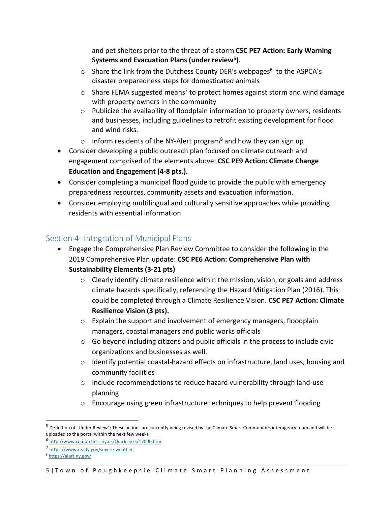and pet shelters prior to the threat of a storm **CSC PE7 Action: Early Warning Systems and Evacuation Plans (under review<sup>5</sup> )**.

- $\circ$  Share the link from the Dutchess County DER's webpages<sup>6</sup> to the ASPCA's disaster preparedness steps for domesticated animals
- $\circ$  Share FEMA suggested means<sup>7</sup> to protect homes against storm and wind damage with property owners in the community
- $\circ$  Publicize the availability of floodplain information to property owners, residents and businesses, including guidelines to retrofit existing development for flood and wind risks.
- o Inform residents of the NY-Alert program<sup>8</sup> and how they can sign up
- Consider developing a public outreach plan focused on climate outreach and engagement comprised of the elements above: **CSC PE9 Action: Climate Change Education and Engagement (4-8 pts.).**
- Consider completing a municipal flood guide to provide the public with emergency preparedness resources, community assets and evacuation information.
- Consider employing multilingual and culturally sensitive approaches while providing residents with essential information

#### Section 4- Integration of Municipal Plans

- Engage the Comprehensive Plan Review Committee to consider the following in the 2019 Comprehensive Plan update: **CSC PE6 Action: Comprehensive Plan with Sustainability Elements (3-21 pts)**
	- $\circ$  Clearly identify climate resilience within the mission, vision, or goals and address climate hazards specifically, referencing the Hazard Mitigation Plan (2016). This could be completed through a Climate Resilience Vision. **CSC PE7 Action: Climate Resilience Vision (3 pts).**
	- o Explain the support and involvement of emergency managers, floodplain managers, coastal managers and public works officials
	- $\circ$  Go beyond including citizens and public officials in the process to include civic organizations and businesses as well.
	- $\circ$  Identify potential coastal-hazard effects on infrastructure, land uses, housing and community facilities
	- $\circ$  Include recommendations to reduce hazard vulnerability through land-use planning
	- o Encourage using green infrastructure techniques to help prevent flooding

 $\overline{a}$ 

 $^5$  Definition of "Under Review": These actions are currently being revised by the Climate Smart Communities interagency team and will be uploaded to the portal within the next few weeks.

<sup>6</sup> <http://www.co.dutchess.ny.us/QuickLinks/17006.htm>

<sup>7</sup> <https://www.ready.gov/severe-weather>

<sup>8</sup> <https://alert.ny.gov/>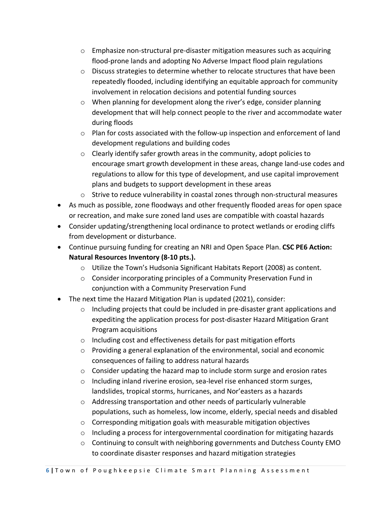- $\circ$  Emphasize non-structural pre-disaster mitigation measures such as acquiring flood-prone lands and adopting No Adverse Impact flood plain regulations
- $\circ$  Discuss strategies to determine whether to relocate structures that have been repeatedly flooded, including identifying an equitable approach for community involvement in relocation decisions and potential funding sources
- $\circ$  When planning for development along the river's edge, consider planning development that will help connect people to the river and accommodate water during floods
- o Plan for costs associated with the follow-up inspection and enforcement of land development regulations and building codes
- o Clearly identify safer growth areas in the community, adopt policies to encourage smart growth development in these areas, change land-use codes and regulations to allow for this type of development, and use capital improvement plans and budgets to support development in these areas
- $\circ$  Strive to reduce vulnerability in coastal zones through non-structural measures
- As much as possible, zone floodways and other frequently flooded areas for open space or recreation, and make sure zoned land uses are compatible with coastal hazards
- Consider updating/strengthening local ordinance to protect wetlands or eroding cliffs from development or disturbance.
- Continue pursuing funding for creating an NRI and Open Space Plan. **CSC PE6 Action: Natural Resources Inventory (8-10 pts.).**
	- o Utilize the Town's Hudsonia Significant Habitats Report (2008) as content.
	- o Consider incorporating principles of a Community Preservation Fund in conjunction with a Community Preservation Fund
- The next time the Hazard Mitigation Plan is updated (2021), consider:
	- $\circ$  Including projects that could be included in pre-disaster grant applications and expediting the application process for post-disaster Hazard Mitigation Grant Program acquisitions
	- o Including cost and effectiveness details for past mitigation efforts
	- o Providing a general explanation of the environmental, social and economic consequences of failing to address natural hazards
	- $\circ$  Consider updating the hazard map to include storm surge and erosion rates
	- o Including inland riverine erosion, sea-level rise enhanced storm surges, landslides, tropical storms, hurricanes, and Nor'easters as a hazards
	- o Addressing transportation and other needs of particularly vulnerable populations, such as homeless, low income, elderly, special needs and disabled
	- o Corresponding mitigation goals with measurable mitigation objectives
	- $\circ$  Including a process for intergovernmental coordination for mitigating hazards
	- $\circ$  Continuing to consult with neighboring governments and Dutchess County EMO to coordinate disaster responses and hazard mitigation strategies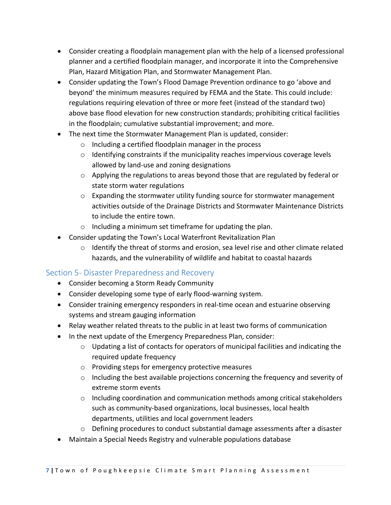- Consider creating a floodplain management plan with the help of a licensed professional planner and a certified floodplain manager, and incorporate it into the Comprehensive Plan, Hazard Mitigation Plan, and Stormwater Management Plan.
- Consider updating the Town's Flood Damage Prevention ordinance to go 'above and beyond' the minimum measures required by FEMA and the State. This could include: regulations requiring elevation of three or more feet (instead of the standard two) above base flood elevation for new construction standards; prohibiting critical facilities in the floodplain; cumulative substantial improvement; and more.
- The next time the Stormwater Management Plan is updated, consider:
	- o Including a certified floodplain manager in the process
	- $\circ$  Identifying constraints if the municipality reaches impervious coverage levels allowed by land-use and zoning designations
	- o Applying the regulations to areas beyond those that are regulated by federal or state storm water regulations
	- o Expanding the stormwater utility funding source for stormwater management activities outside of the Drainage Districts and Stormwater Maintenance Districts to include the entire town.
	- o Including a minimum set timeframe for updating the plan.
- Consider updating the Town's Local Waterfront Revitalization Plan
	- o Identify the threat of storms and erosion, sea level rise and other climate related hazards, and the vulnerability of wildlife and habitat to coastal hazards

#### Section 5- Disaster Preparedness and Recovery

- Consider becoming a Storm Ready Community
- Consider developing some type of early flood-warning system.
- Consider training emergency responders in real-time ocean and estuarine observing systems and stream gauging information
- Relay weather related threats to the public in at least two forms of communication
- In the next update of the Emergency Preparedness Plan, consider:
	- o Updating a list of contacts for operators of municipal facilities and indicating the required update frequency
	- o Providing steps for emergency protective measures
	- $\circ$  Including the best available projections concerning the frequency and severity of extreme storm events
	- $\circ$  Including coordination and communication methods among critical stakeholders such as community-based organizations, local businesses, local health departments, utilities and local government leaders
	- o Defining procedures to conduct substantial damage assessments after a disaster
- Maintain a Special Needs Registry and vulnerable populations database